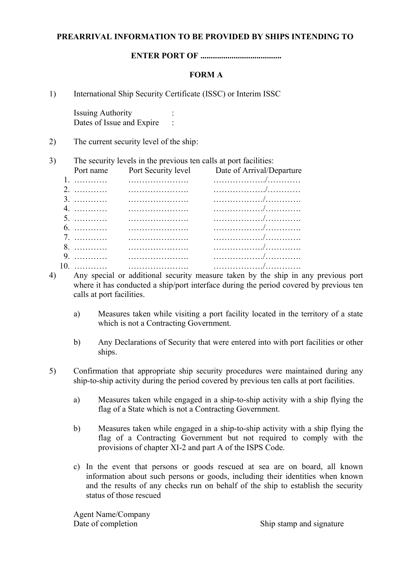#### **PREARRIVAL INFORMATION TO BE PROVIDED BY SHIPS INTENDING TO**

**ENTER PORT OF .......................................**

## **FORM A**

1) International Ship Security Certificate (ISSC) or Interim ISSC

Issuing Authority : Dates of Issue and Expire

2) The current security level of the ship:

#### 3) The security levels in the previous ten calls at port facilities:

| Port name Port Security level | Date of Arrival/Departure |
|-------------------------------|---------------------------|
|                               |                           |
|                               |                           |
|                               |                           |
|                               |                           |
|                               |                           |
|                               |                           |
|                               |                           |
|                               |                           |
|                               |                           |
|                               |                           |

- 4) Any special or additional security measure taken by the ship in any previous port where it has conducted a ship/port interface during the period covered by previous ten calls at port facilities.
	- a) Measures taken while visiting a port facility located in the territory of a state which is not a Contracting Government.
	- b) Any Declarations of Security that were entered into with port facilities or other ships.
- 5) Confirmation that appropriate ship security procedures were maintained during any ship-to-ship activity during the period covered by previous ten calls at port facilities.
	- a) Measures taken while engaged in a ship-to-ship activity with a ship flying the flag of a State which is not a Contracting Government.
	- b) Measures taken while engaged in a ship-to-ship activity with a ship flying the flag of a Contracting Government but not required to comply with the provisions of chapter XI-2 and part A of the ISPS Code.
	- c) In the event that persons or goods rescued at sea are on board, all known information about such persons or goods, including their identities when known and the results of any checks run on behalf of the ship to establish the security status of those rescued

Agent Name/Company

Date of completion Ship stamp and signature